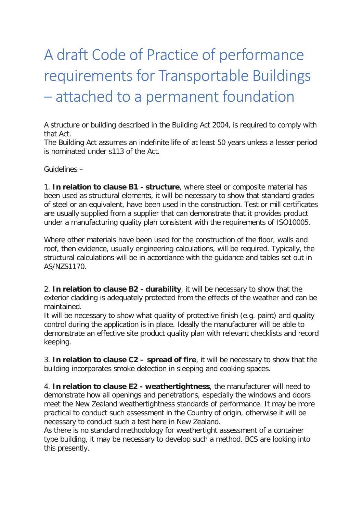## A draft Code of Practice of performance requirements for Transportable Buildings – attached to a permanent foundation

A structure or building described in the Building Act 2004, is required to comply with that Act.

The Building Act assumes an indefinite life of at least 50 years unless a lesser period is nominated under s113 of the Act.

Guidelines –

1. **In relation to clause B1 - structure**, where steel or composite material has been used as structural elements, it will be necessary to show that standard grades of steel or an equivalent, have been used in the construction. Test or mill certificates are usually supplied from a supplier that can demonstrate that it provides product under a manufacturing quality plan consistent with the requirements of ISO10005.

Where other materials have been used for the construction of the floor, walls and roof, then evidence, usually engineering calculations, will be required. Typically, the structural calculations will be in accordance with the guidance and tables set out in AS/NZS1170.

2. **In relation to clause B2 - durability**, it will be necessary to show that the exterior cladding is adequately protected from the effects of the weather and can be maintained.

It will be necessary to show what quality of protective finish (e.g. paint) and quality control during the application is in place. Ideally the manufacturer will be able to demonstrate an effective site product quality plan with relevant checklists and record keeping.

3. **In relation to clause C2 – spread of fire**, it will be necessary to show that the building incorporates smoke detection in sleeping and cooking spaces.

4. **In relation to clause E2 - weathertightness**, the manufacturer will need to demonstrate how all openings and penetrations, especially the windows and doors meet the New Zealand weathertightness standards of performance. It may be more practical to conduct such assessment in the Country of origin, otherwise it will be necessary to conduct such a test here in New Zealand.

As there is no standard methodology for weathertight assessment of a container type building, it may be necessary to develop such a method. BCS are looking into this presently.